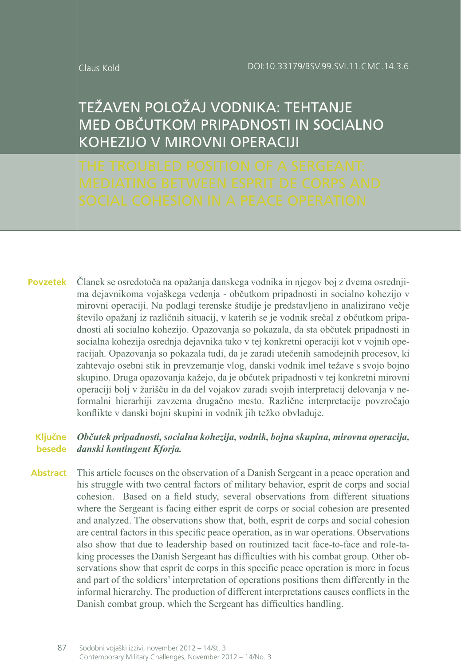# TEŽAVEN POLOŽAJ VODNIKA: TEhTANJE MED OBČUTKOM PRIPADNOSTI IN SOCIALNO KOhEZIJO V MIROVNI OPERACIJI

Članek se osredotoča na opažanja danskega vodnika in njegov boj z dvema osrednjima dejavnikoma vojaškega vedenja - občutkom pripadnosti in socialno kohezijo v mirovni operaciji. Na podlagi terenske študije je predstavljeno in analizirano večje število opažanj iz različnih situacij, v katerih se je vodnik srečal z občutkom pripadnosti ali socialno kohezijo. Opazovanja so pokazala, da sta občutek pripadnosti in socialna kohezija osrednja dejavnika tako v tej konkretni operaciji kot v vojnih operacijah. Opazovanja so pokazala tudi, da je zaradi utečenih samodejnih procesov, ki zahtevajo osebni stik in prevzemanje vlog, danski vodnik imel težave s svojo bojno skupino. Druga opazovanja kažejo, da je občutek pripadnosti v tej konkretni mirovni operaciji bolj v žarišču in da del vojakov zaradi svojih interpretacij delovanja v neformalni hierarhiji zavzema drugačno mesto. Različne interpretacije povzročajo konflikte v danski bojni skupini in vodnik jih težko obvladuje. **Povzetek**

#### *Občutek pripadnosti, socialna kohezija, vodnik, bojna skupina, mirovna operacija, danski kontingent Kforja.* **Ključne besede**

This article focuses on the observation of a Danish Sergeant in a peace operation and his struggle with two central factors of military behavior, esprit de corps and social cohesion. Based on a field study, several observations from different situations where the Sergeant is facing either esprit de corps or social cohesion are presented and analyzed. The observations show that, both, esprit de corps and social cohesion are central factors in this specific peace operation, as in war operations. Observations also show that due to leadership based on routinized tacit face-to-face and role-taking processes the Danish Sergeant has difficulties with his combat group. Other observations show that esprit de corps in this specific peace operation is more in focus and part of the soldiers' interpretation of operations positions them differently in the informal hierarchy. The production of different interpretations causes conflicts in the Danish combat group, which the Sergeant has difficulties handling. **Abstract**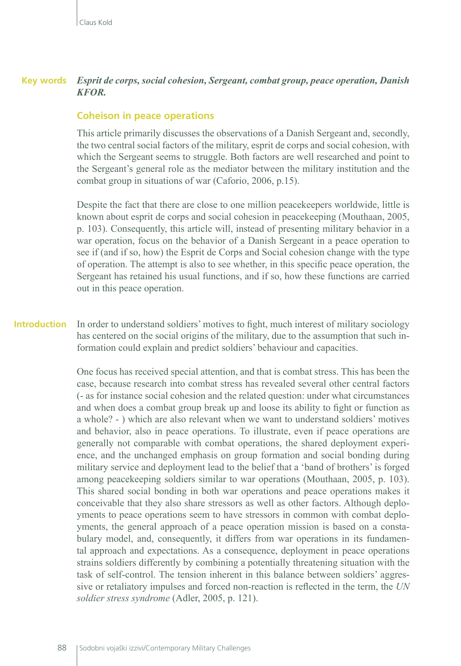#### *Esprit de corps, social cohesion, Sergeant, combat group, peace operation, Danish KFOR.* **Key words**

#### **Coheison in peace operations**

This article primarily discusses the observations of a Danish Sergeant and, secondly, the two central social factors of the military, esprit de corps and social cohesion, with which the Sergeant seems to struggle. Both factors are well researched and point to the Sergeant's general role as the mediator between the military institution and the combat group in situations of war (Caforio, 2006, p.15).

Despite the fact that there are close to one million peacekeepers worldwide, little is known about esprit de corps and social cohesion in peacekeeping (Mouthaan, 2005, p. 103). Consequently, this article will, instead of presenting military behavior in a war operation, focus on the behavior of a Danish Sergeant in a peace operation to see if (and if so, how) the Esprit de Corps and Social cohesion change with the type of operation. The attempt is also to see whether, in this specific peace operation, the Sergeant has retained his usual functions, and if so, how these functions are carried out in this peace operation.

#### In order to understand soldiers' motives to fight, much interest of military sociology has centered on the social origins of the military, due to the assumption that such information could explain and predict soldiers' behaviour and capacities. **Introduction**

One focus has received special attention, and that is combat stress. This has been the case, because research into combat stress has revealed several other central factors (- as for instance social cohesion and the related question: under what circumstances and when does a combat group break up and loose its ability to fight or function as a whole? - ) which are also relevant when we want to understand soldiers' motives and behavior, also in peace operations. To illustrate, even if peace operations are generally not comparable with combat operations, the shared deployment experience, and the unchanged emphasis on group formation and social bonding during military service and deployment lead to the belief that a 'band of brothers' is forged among peacekeeping soldiers similar to war operations (Mouthaan, 2005, p. 103). This shared social bonding in both war operations and peace operations makes it conceivable that they also share stressors as well as other factors. Although deployments to peace operations seem to have stressors in common with combat deployments, the general approach of a peace operation mission is based on a constabulary model, and, consequently, it differs from war operations in its fundamental approach and expectations. As a consequence, deployment in peace operations strains soldiers differently by combining a potentially threatening situation with the task of self-control. The tension inherent in this balance between soldiers' aggressive or retaliatory impulses and forced non-reaction is reflected in the term, the *UN soldier stress syndrome* (Adler, 2005, p. 121).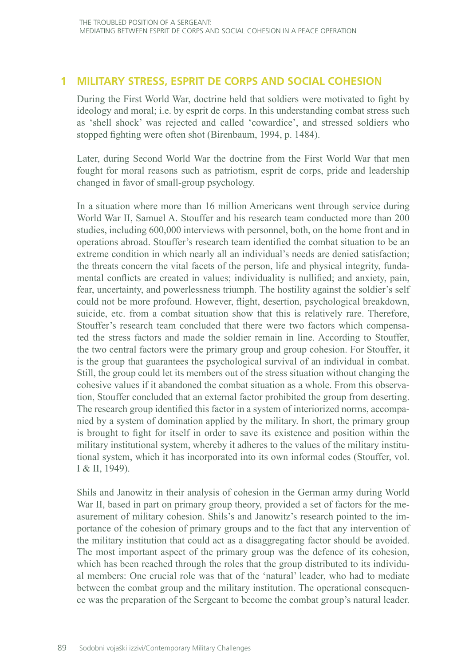# **1 MILITARY STRESS, ESPRIT DE CORPS AND SOCIAL COHESION**

During the First World War, doctrine held that soldiers were motivated to fight by ideology and moral; i.e. by esprit de corps. In this understanding combat stress such as 'shell shock' was rejected and called 'cowardice', and stressed soldiers who stopped fighting were often shot (Birenbaum, 1994, p. 1484).

Later, during Second World War the doctrine from the First World War that men fought for moral reasons such as patriotism, esprit de corps, pride and leadership changed in favor of small-group psychology.

In a situation where more than 16 million Americans went through service during World War II, Samuel A. Stouffer and his research team conducted more than 200 studies, including 600,000 interviews with personnel, both, on the home front and in operations abroad. Stouffer's research team identified the combat situation to be an extreme condition in which nearly all an individual's needs are denied satisfaction; the threats concern the vital facets of the person, life and physical integrity, fundamental conflicts are created in values; individuality is nullified; and anxiety, pain, fear, uncertainty, and powerlessness triumph. The hostility against the soldier's self could not be more profound. However, flight, desertion, psychological breakdown, suicide, etc. from a combat situation show that this is relatively rare. Therefore, Stouffer's research team concluded that there were two factors which compensated the stress factors and made the soldier remain in line. According to Stouffer, the two central factors were the primary group and group cohesion. For Stouffer, it is the group that guarantees the psychological survival of an individual in combat. Still, the group could let its members out of the stress situation without changing the cohesive values if it abandoned the combat situation as a whole. From this observation, Stouffer concluded that an external factor prohibited the group from deserting. The research group identified this factor in a system of interiorized norms, accompanied by a system of domination applied by the military. In short, the primary group is brought to fight for itself in order to save its existence and position within the military institutional system, whereby it adheres to the values of the military institutional system, which it has incorporated into its own informal codes (Stouffer, vol. I & II, 1949).

Shils and Janowitz in their analysis of cohesion in the German army during World War II, based in part on primary group theory, provided a set of factors for the measurement of military cohesion. Shils's and Janowitz's research pointed to the importance of the cohesion of primary groups and to the fact that any intervention of the military institution that could act as a disaggregating factor should be avoided. The most important aspect of the primary group was the defence of its cohesion, which has been reached through the roles that the group distributed to its individual members: One crucial role was that of the 'natural' leader, who had to mediate between the combat group and the military institution. The operational consequence was the preparation of the Sergeant to become the combat group's natural leader.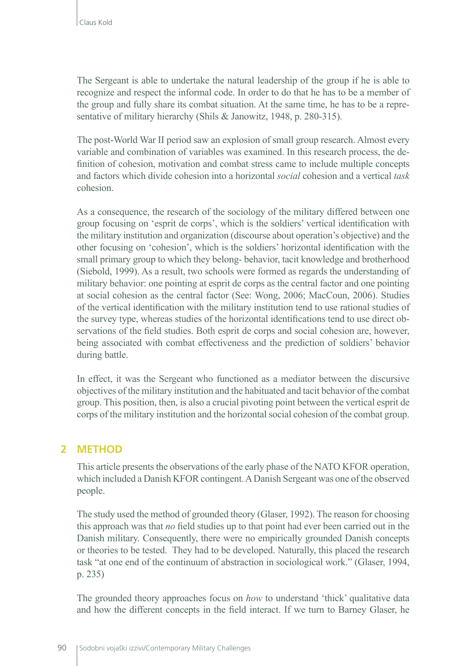The Sergeant is able to undertake the natural leadership of the group if he is able to recognize and respect the informal code. In order to do that he has to be a member of the group and fully share its combat situation. At the same time, he has to be a representative of military hierarchy (Shils & Janowitz, 1948, p. 280-315).

The post-World War II period saw an explosion of small group research. Almost every variable and combination of variables was examined. In this research process, the definition of cohesion, motivation and combat stress came to include multiple concepts and factors which divide cohesion into a horizontal *social* cohesion and a vertical *task* cohesion.

As a consequence, the research of the sociology of the military differed between one group focusing on 'esprit de corps', which is the soldiers' vertical identification with the military institution and organization (discourse about operation's objective) and the other focusing on 'cohesion', which is the soldiers' horizontal identification with the small primary group to which they belong- behavior, tacit knowledge and brotherhood (Siebold, 1999). As a result, two schools were formed as regards the understanding of military behavior: one pointing at esprit de corps as the central factor and one pointing at social cohesion as the central factor (See: Wong, 2006; MacCoun, 2006). Studies of the vertical identification with the military institution tend to use rational studies of the survey type, whereas studies of the horizontal identifications tend to use direct observations of the field studies. Both esprit de corps and social cohesion are, however, being associated with combat effectiveness and the prediction of soldiers' behavior during battle.

In effect, it was the Sergeant who functioned as a mediator between the discursive objectives of the military institution and the habituated and tacit behavior of the combat group. This position, then, is also a crucial pivoting point between the vertical esprit de corps of the military institution and the horizontal social cohesion of the combat group.

# **2 METHOD**

This article presents the observations of the early phase of the NATO KFOR operation, which included a Danish KFOR contingent. A Danish Sergeant was one of the observed people.

The study used the method of grounded theory (Glaser, 1992). The reason for choosing this approach was that *no* field studies up to that point had ever been carried out in the Danish military. Consequently, there were no empirically grounded Danish concepts or theories to be tested. They had to be developed. Naturally, this placed the research task "at one end of the continuum of abstraction in sociological work." (Glaser, 1994, p. 235)

The grounded theory approaches focus on *how* to understand 'thick' qualitative data and how the different concepts in the field interact. If we turn to Barney Glaser, he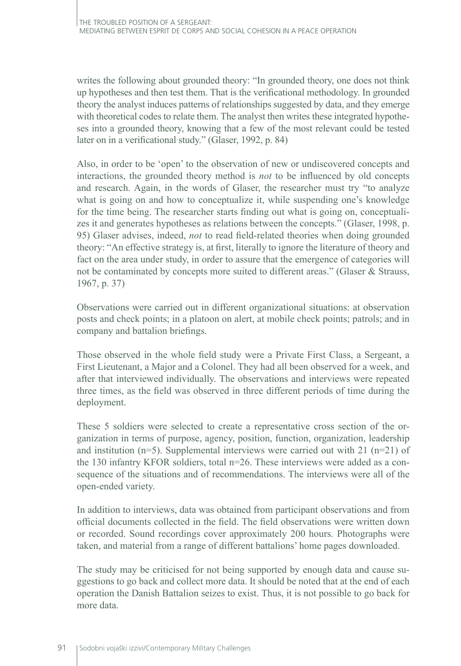writes the following about grounded theory: "In grounded theory, one does not think up hypotheses and then test them. That is the verificational methodology. In grounded theory the analyst induces patterns of relationships suggested by data, and they emerge with theoretical codes to relate them. The analyst then writes these integrated hypotheses into a grounded theory, knowing that a few of the most relevant could be tested later on in a verificational study." (Glaser, 1992, p. 84)

Also, in order to be 'open' to the observation of new or undiscovered concepts and interactions, the grounded theory method is *not* to be influenced by old concepts and research. Again, in the words of Glaser, the researcher must try "to analyze what is going on and how to conceptualize it, while suspending one's knowledge for the time being. The researcher starts finding out what is going on, conceptualizes it and generates hypotheses as relations between the concepts." (Glaser, 1998, p. 95) Glaser advises, indeed, *not* to read field-related theories when doing grounded theory: "An effective strategy is, at first, literally to ignore the literature of theory and fact on the area under study, in order to assure that the emergence of categories will not be contaminated by concepts more suited to different areas." (Glaser & Strauss, 1967, p. 37)

Observations were carried out in different organizational situations: at observation posts and check points; in a platoon on alert, at mobile check points; patrols; and in company and battalion briefings.

Those observed in the whole field study were a Private First Class, a Sergeant, a First Lieutenant, a Major and a Colonel. They had all been observed for a week, and after that interviewed individually. The observations and interviews were repeated three times, as the field was observed in three different periods of time during the deployment.

These 5 soldiers were selected to create a representative cross section of the organization in terms of purpose, agency, position, function, organization, leadership and institution  $(n=5)$ . Supplemental interviews were carried out with 21  $(n=21)$  of the 130 infantry KFOR soldiers, total n=26. These interviews were added as a consequence of the situations and of recommendations. The interviews were all of the open-ended variety.

In addition to interviews, data was obtained from participant observations and from official documents collected in the field. The field observations were written down or recorded. Sound recordings cover approximately 200 hours. Photographs were taken, and material from a range of different battalions' home pages downloaded.

The study may be criticised for not being supported by enough data and cause suggestions to go back and collect more data. It should be noted that at the end of each operation the Danish Battalion seizes to exist. Thus, it is not possible to go back for more data.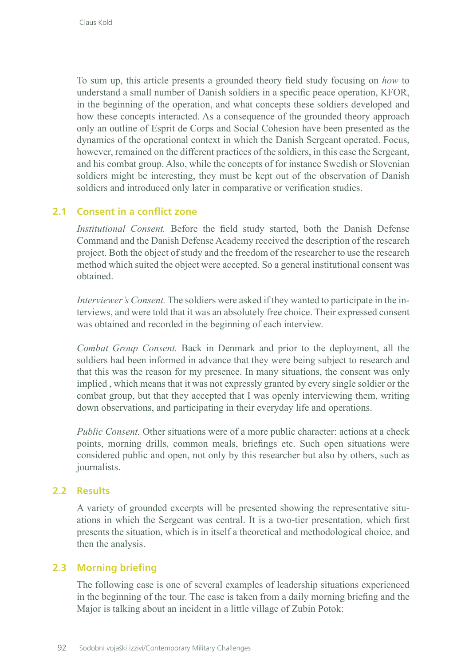To sum up, this article presents a grounded theory field study focusing on *how* to understand a small number of Danish soldiers in a specific peace operation, KFOR, in the beginning of the operation, and what concepts these soldiers developed and how these concepts interacted. As a consequence of the grounded theory approach only an outline of Esprit de Corps and Social Cohesion have been presented as the dynamics of the operational context in which the Danish Sergeant operated. Focus, however, remained on the different practices of the soldiers, in this case the Sergeant, and his combat group. Also, while the concepts of for instance Swedish or Slovenian soldiers might be interesting, they must be kept out of the observation of Danish soldiers and introduced only later in comparative or verification studies.

# **2.1 Consent in a conflict zone**

*Institutional Consent.* Before the field study started, both the Danish Defense Command and the Danish Defense Academy received the description of the research project. Both the object of study and the freedom of the researcher to use the research method which suited the object were accepted. So a general institutional consent was obtained.

*Interviewer's Consent.* The soldiers were asked if they wanted to participate in the interviews, and were told that it was an absolutely free choice. Their expressed consent was obtained and recorded in the beginning of each interview.

*Combat Group Consent.* Back in Denmark and prior to the deployment, all the soldiers had been informed in advance that they were being subject to research and that this was the reason for my presence. In many situations, the consent was only implied , which means that it was not expressly granted by every single soldier or the combat group, but that they accepted that I was openly interviewing them, writing down observations, and participating in their everyday life and operations.

*Public Consent.* Other situations were of a more public character: actions at a check points, morning drills, common meals, briefings etc. Such open situations were considered public and open, not only by this researcher but also by others, such as journalists.

### **2.2 Results**

A variety of grounded excerpts will be presented showing the representative situations in which the Sergeant was central. It is a two-tier presentation, which first presents the situation, which is in itself a theoretical and methodological choice, and then the analysis.

### **2.3 Morning briefing**

The following case is one of several examples of leadership situations experienced in the beginning of the tour. The case is taken from a daily morning briefing and the Major is talking about an incident in a little village of Zubin Potok: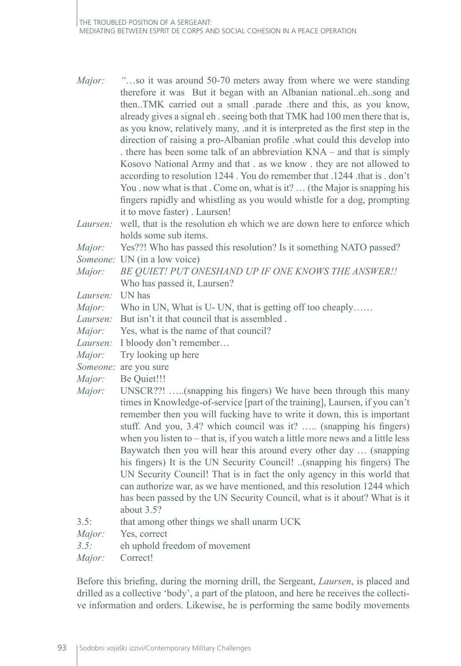- *Major: "*…so it was around 50-70 meters away from where we were standing therefore it was But it began with an Albanian national..eh..song and then..TMK carried out a small .parade .there and this, as you know, already gives a signal eh . seeing both that TMK had 100 men there that is, as you know, relatively many, .and it is interpreted as the first step in the direction of raising a pro-Albanian profile .what could this develop into . there has been some talk of an abbreviation KNA – and that is simply Kosovo National Army and that . as we know . they are not allowed to according to resolution 1244 . You do remember that .1244 .that is . don't You . now what is that . Come on, what is it? ... (the Major is snapping his fingers rapidly and whistling as you would whistle for a dog, prompting it to move faster) . Laursen!
- *Laursen:* well, that is the resolution eh which we are down here to enforce which holds some sub items.

*Major:* Yes??! Who has passed this resolution? Is it something NATO passed?

- *Someone:* UN (in a low voice)
- *Major: BE QUIET! PUT ONESHAND UP IF ONE KNOWS THE ANSWER!!* Who has passed it, Laursen?
- *Laursen:* UN has
- *Major:* Who in UN, What is U- UN, that is getting off too cheaply......
- *Laursen:* But isn't it that council that is assembled .
- *Major:* Yes, what is the name of that council?
- *Laursen:* I bloody don't remember…
- *Major:* Try looking up here
- *Someone:* are you sure
- *Major:* Be Quiet!!!
- *Major:* UNSCR??! .....(snapping his fingers) We have been through this many times in Knowledge-of-service [part of the training], Laursen, if you can't remember then you will fucking have to write it down, this is important stuff. And you, 3.4? which council was it? ….. (snapping his fingers) when you listen to – that is, if you watch a little more news and a little less Baywatch then you will hear this around every other day … (snapping his fingers) It is the UN Security Council! ..(snapping his fingers) The UN Security Council! That is in fact the only agency in this world that can authorize war, as we have mentioned, and this resolution 1244 which has been passed by the UN Security Council, what is it about? What is it about 3.5?
- 3.5: that among other things we shall unarm UCK
- *Major:* Yes, correct
- *3.5:* eh uphold freedom of movement
- *Major:* Correct!

Before this briefing, during the morning drill, the Sergeant, *Laursen*, is placed and drilled as a collective 'body', a part of the platoon, and here he receives the collective information and orders. Likewise, he is performing the same bodily movements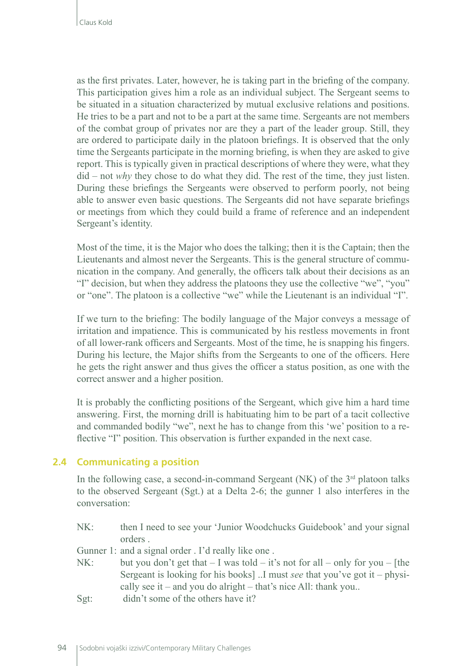as the first privates. Later, however, he is taking part in the briefing of the company. This participation gives him a role as an individual subject. The Sergeant seems to be situated in a situation characterized by mutual exclusive relations and positions. He tries to be a part and not to be a part at the same time. Sergeants are not members of the combat group of privates nor are they a part of the leader group. Still, they are ordered to participate daily in the platoon briefings. It is observed that the only time the Sergeants participate in the morning briefing, is when they are asked to give report. This is typically given in practical descriptions of where they were, what they did – not *why* they chose to do what they did. The rest of the time, they just listen. During these briefings the Sergeants were observed to perform poorly, not being able to answer even basic questions. The Sergeants did not have separate briefings or meetings from which they could build a frame of reference and an independent Sergeant's identity.

Most of the time, it is the Major who does the talking; then it is the Captain; then the Lieutenants and almost never the Sergeants. This is the general structure of communication in the company. And generally, the officers talk about their decisions as an "I" decision, but when they address the platoons they use the collective "we", "you" or "one". The platoon is a collective "we" while the Lieutenant is an individual "I".

If we turn to the briefing: The bodily language of the Major conveys a message of irritation and impatience. This is communicated by his restless movements in front of all lower-rank officers and Sergeants. Most of the time, he is snapping his fingers. During his lecture, the Major shifts from the Sergeants to one of the officers. Here he gets the right answer and thus gives the officer a status position, as one with the correct answer and a higher position.

It is probably the conflicting positions of the Sergeant, which give him a hard time answering. First, the morning drill is habituating him to be part of a tacit collective and commanded bodily "we", next he has to change from this 'we' position to a reflective "I" position. This observation is further expanded in the next case.

# **2.4 Communicating a position**

In the following case, a second-in-command Sergeant (NK) of the  $3<sup>rd</sup>$  platoon talks to the observed Sergeant (Sgt.) at a Delta 2-6; the gunner 1 also interferes in the conversation:

- NK: then I need to see your 'Junior Woodchucks Guidebook' and your signal orders .
- Gunner 1: and a signal order . I'd really like one .
- NK: but you don't get that  $I$  was told  $-$  it's not for all  $-$  only for you  $-$  [the Sergeant is looking for his books] ..I must *see* that you've got it – physically see it – and you do alright – that's nice All: thank you..
- Sgt: didn't some of the others have it?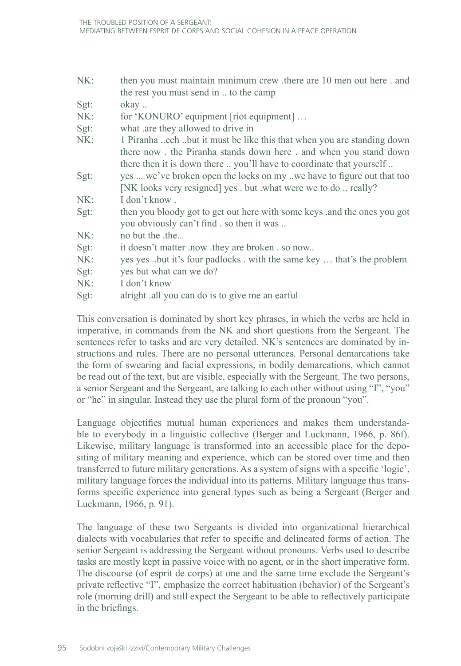- NK: then you must maintain minimum crew .there are 10 men out here . and the rest you must send in .. to the camp
- Sgt: okay...
- NK: for 'KONURO' equipment [riot equipment] ...
- Sgt: what .are they allowed to drive in
- NK: 1 Piranha ..eeh ..but it must be like this that when you are standing down there now . the Piranha stands down here . and when you stand down there then it is down there .. you'll have to coordinate that yourself ..
- Sgt: yes ... we've broken open the locks on my ..we have to figure out that too [NK looks very resigned] yes . but .what were we to do .. really?
- NK: I don't know .
- Sgt: then you bloody got to get out here with some keys .and the ones you got you obviously can't find . so then it was ..
- NK: no but the the...
- Sgt: it doesn't matter .now .they are broken . so now..
- NK: yes yes ..but it's four padlocks . with the same key ... that's the problem
- Sgt: ves but what can we do?
- NK: I don't know
- Sgt: alright .all you can do is to give me an earful

This conversation is dominated by short key phrases, in which the verbs are held in imperative, in commands from the NK and short questions from the Sergeant. The sentences refer to tasks and are very detailed. NK's sentences are dominated by instructions and rules. There are no personal utterances. Personal demarcations take the form of swearing and facial expressions, in bodily demarcations, which cannot be read out of the text, but are visible, especially with the Sergeant. The two persons, a senior Sergeant and the Sergeant, are talking to each other without using "I", "you" or "he" in singular. Instead they use the plural form of the pronoun "you".

Language objectifies mutual human experiences and makes them understandable to everybody in a linguistic collective (Berger and Luckmann, 1966, p. 86f). Likewise, military language is transformed into an accessible place for the depositing of military meaning and experience, which can be stored over time and then transferred to future military generations. As a system of signs with a specific 'logic', military language forces the individual into its patterns. Military language thus transforms specific experience into general types such as being a Sergeant (Berger and Luckmann, 1966, p. 91).

The language of these two Sergeants is divided into organizational hierarchical dialects with vocabularies that refer to specific and delineated forms of action. The senior Sergeant is addressing the Sergeant without pronouns. Verbs used to describe tasks are mostly kept in passive voice with no agent, or in the short imperative form. The discourse (of esprit de corps) at one and the same time exclude the Sergeant's private reflective "I", emphasize the correct habituation (behavior) of the Sergeant's role (morning drill) and still expect the Sergeant to be able to reflectively participate in the briefings.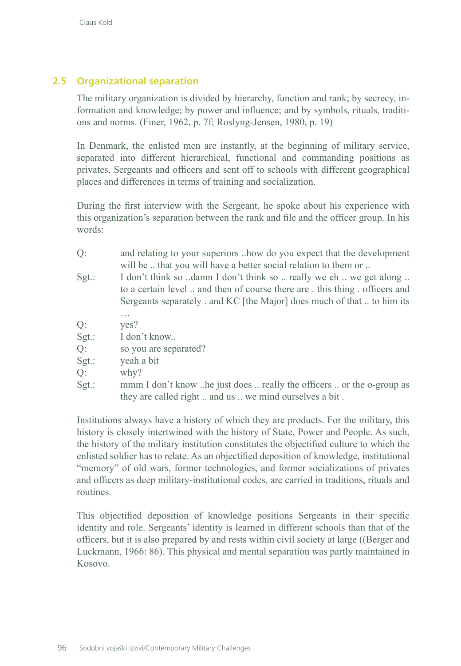# **2.5 Organizational separation**

The military organization is divided by hierarchy, function and rank; by secrecy, information and knowledge; by power and influence; and by symbols, rituals, traditions and norms. (Finer, 1962, p. 7f; Roslyng-Jensen, 1980, p. 19)

In Denmark, the enlisted men are instantly, at the beginning of military service, separated into different hierarchical, functional and commanding positions as privates, Sergeants and officers and sent off to schools with different geographical places and differences in terms of training and socialization.

During the first interview with the Sergeant, he spoke about his experience with this organization's separation between the rank and file and the officer group. In his words:

- Q: and relating to your superiors ..how do you expect that the development will be .. that you will have a better social relation to them or ..
- Sgt.: I don't think so ..damn I don't think so .. really we eh .. we get along .. to a certain level .. and then of course there are . this thing . officers and Sergeants separately . and KC [the Major] does much of that .. to him its

… Q: yes?

- Sgt.: I don't know...
- Q: so you are separated?
- Sgt.: yeah a bit
- Q: why?
- Sgt.: mmm I don't know ..he just does .. really the officers .. or the o-group as they are called right .. and us .. we mind ourselves a bit .

Institutions always have a history of which they are products. For the military, this history is closely intertwined with the history of State, Power and People. As such, the history of the military institution constitutes the objectified culture to which the enlisted soldier has to relate. As an objectified deposition of knowledge, institutional "memory" of old wars, former technologies, and former socializations of privates and officers as deep military-institutional codes, are carried in traditions, rituals and routines.

This objectified deposition of knowledge positions Sergeants in their specific identity and role. Sergeants' identity is learned in different schools than that of the officers, but it is also prepared by and rests within civil society at large ((Berger and Luckmann, 1966: 86). This physical and mental separation was partly maintained in Kosovo.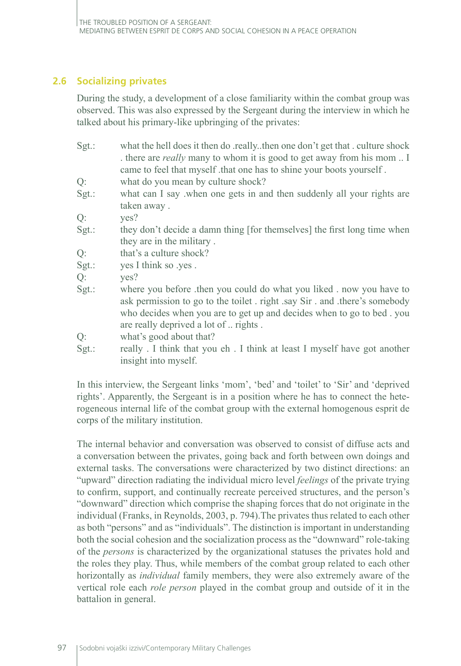# **2.6 Socializing privates**

During the study, a development of a close familiarity within the combat group was observed. This was also expressed by the Sergeant during the interview in which he talked about his primary-like upbringing of the privates:

- Sgt.: what the hell does it then do .really..then one don't get that . culture shock . there are *really* many to whom it is good to get away from his mom .. I came to feel that myself .that one has to shine your boots yourself.
- Q: what do you mean by culture shock?
- Sgt.: what can I say when one gets in and then suddenly all your rights are taken away .

Q: yes?

- Sgt.: they don't decide a damn thing [for themselves] the first long time when they are in the military .
- Q: that's a culture shock?
- Sgt.: yes I think so .yes.
- Q: yes?
- Sgt.: where you before .then you could do what you liked . now you have to ask permission to go to the toilet . right .say Sir . and .there's somebody who decides when you are to get up and decides when to go to bed . you are really deprived a lot of .. rights .

Q: what's good about that?

Sgt.: really . I think that you eh . I think at least I myself have got another insight into myself.

In this interview, the Sergeant links 'mom', 'bed' and 'toilet' to 'Sir' and 'deprived rights'. Apparently, the Sergeant is in a position where he has to connect the heterogeneous internal life of the combat group with the external homogenous esprit de corps of the military institution.

The internal behavior and conversation was observed to consist of diffuse acts and a conversation between the privates, going back and forth between own doings and external tasks. The conversations were characterized by two distinct directions: an "upward" direction radiating the individual micro level *feelings* of the private trying to confirm, support, and continually recreate perceived structures, and the person's "downward" direction which comprise the shaping forces that do not originate in the individual (Franks, in Reynolds, 2003, p. 794).The privates thus related to each other as both "persons" and as "individuals". The distinction is important in understanding both the social cohesion and the socialization process as the "downward" role-taking of the *persons* is characterized by the organizational statuses the privates hold and the roles they play. Thus, while members of the combat group related to each other horizontally as *individual* family members, they were also extremely aware of the vertical role each *role person* played in the combat group and outside of it in the battalion in general.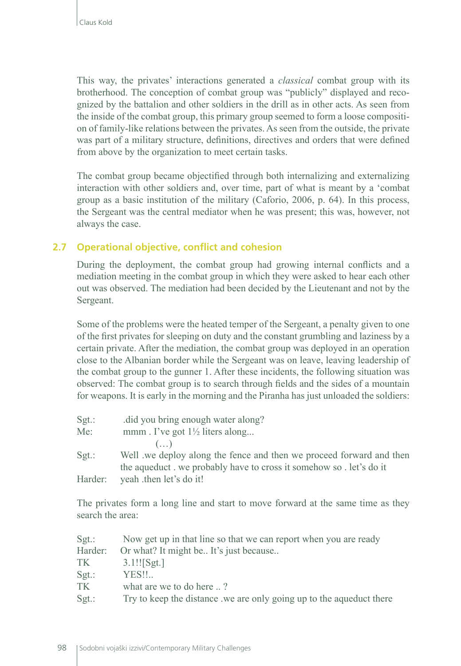This way, the privates' interactions generated a *classical* combat group with its brotherhood. The conception of combat group was "publicly" displayed and recognized by the battalion and other soldiers in the drill as in other acts. As seen from the inside of the combat group, this primary group seemed to form a loose composition of family-like relations between the privates. As seen from the outside, the private was part of a military structure, definitions, directives and orders that were defined from above by the organization to meet certain tasks.

The combat group became objectified through both internalizing and externalizing interaction with other soldiers and, over time, part of what is meant by a 'combat group as a basic institution of the military (Caforio, 2006, p. 64). In this process, the Sergeant was the central mediator when he was present; this was, however, not always the case.

# **2.7 Operational objective, conflict and cohesion**

During the deployment, the combat group had growing internal conflicts and a mediation meeting in the combat group in which they were asked to hear each other out was observed. The mediation had been decided by the Lieutenant and not by the Sergeant.

Some of the problems were the heated temper of the Sergeant, a penalty given to one of the first privates for sleeping on duty and the constant grumbling and laziness by a certain private. After the mediation, the combat group was deployed in an operation close to the Albanian border while the Sergeant was on leave, leaving leadership of the combat group to the gunner 1. After these incidents, the following situation was observed: The combat group is to search through fields and the sides of a mountain for weapons. It is early in the morning and the Piranha has just unloaded the soldiers:

| $Sgt$ : | did you bring enough water along?                                   |
|---------|---------------------------------------------------------------------|
| Me:     | mmm. I've got $1\frac{1}{2}$ liters along                           |
|         | $(\ldots)$                                                          |
| $Sgt$ : | Well we deploy along the fence and then we proceed forward and then |
|         | the aqueduct we probably have to cross it somehow so . let's do it  |
| Harder: | yeah then let's do it!                                              |

The privates form a long line and start to move forward at the same time as they search the area:

| $Sgt$ : | Now get up in that line so that we can report when you are ready    |
|---------|---------------------------------------------------------------------|
| Harder: | Or what? It might be It's just because                              |
| TK.     | $3.1!!$ Sgt.                                                        |
| $Sgt$ : | YES!!                                                               |
| TK      | what are we to do here ?                                            |
| $Sgt$ : | Try to keep the distance we are only going up to the aqueduct there |
|         |                                                                     |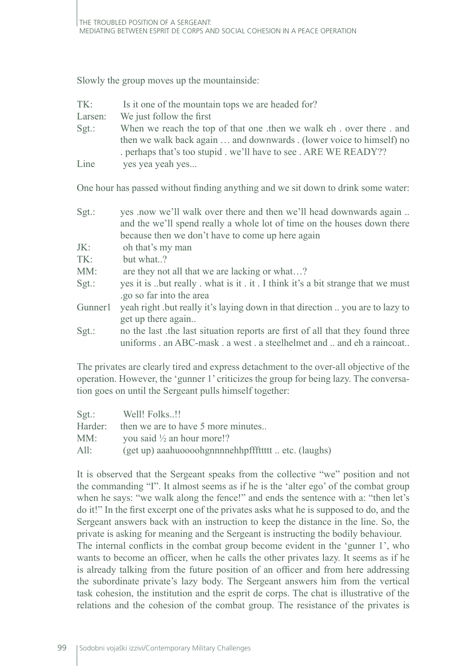Slowly the group moves up the mountainside:

| TK:     | Is it one of the mountain tops we are headed for?                    |
|---------|----------------------------------------------------------------------|
| Larsen: | We just follow the first                                             |
| $Sgt$ : | When we reach the top of that one then we walk eh . over there . and |
|         | then we walk back again  and downwards . (lower voice to himself) no |
|         | perhaps that's too stupid . we'll have to see . ARE WE READY??       |
| Line    | yes yea yeah yes                                                     |

One hour has passed without finding anything and we sit down to drink some water:

| $Sgt$ : | yes .now we'll walk over there and then we'll head downwards again             |
|---------|--------------------------------------------------------------------------------|
|         | and the we'll spend really a whole lot of time on the houses down there        |
|         | because then we don't have to come up here again                               |
| JK:     | oh that's my man                                                               |
| TK:     | but what?                                                                      |
| MM:     | are they not all that we are lacking or what?                                  |
| $Sgt$ : | yes it is but really what is it . it . I think it's a bit strange that we must |
|         | .go so far into the area                                                       |
| Gunner1 | yeah right but really it's laying down in that direction  you are to lazy to   |
|         | get up there again                                                             |
| $Sgt$ : | no the last the last situation reports are first of all that they found three  |

The privates are clearly tired and express detachment to the over-all objective of the operation. However, the 'gunner 1' criticizes the group for being lazy. The conversation goes on until the Sergeant pulls himself together:

uniforms . an ABC-mask . a west . a steelhelmet and .. and eh a raincoat..

| $Sgt$ : | Well! Folks!!                                       |
|---------|-----------------------------------------------------|
| Harder: | then we are to have 5 more minutes                  |
| MM:     | you said $\frac{1}{2}$ an hour more!?               |
| All:    | (get up) aaahuoooohgnnnnehhpfffttttt  etc. (laughs) |

It is observed that the Sergeant speaks from the collective "we" position and not the commanding "I". It almost seems as if he is the 'alter ego' of the combat group when he says: "we walk along the fence!" and ends the sentence with a: "then let's do it!" In the first excerpt one of the privates asks what he is supposed to do, and the Sergeant answers back with an instruction to keep the distance in the line. So, the private is asking for meaning and the Sergeant is instructing the bodily behaviour.

The internal conflicts in the combat group become evident in the 'gunner 1', who wants to become an officer, when he calls the other privates lazy. It seems as if he is already talking from the future position of an officer and from here addressing the subordinate private's lazy body. The Sergeant answers him from the vertical task cohesion, the institution and the esprit de corps. The chat is illustrative of the relations and the cohesion of the combat group. The resistance of the privates is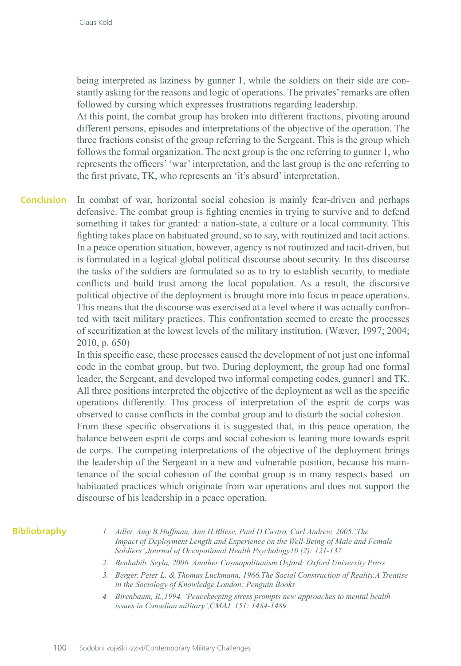being interpreted as laziness by gunner 1, while the soldiers on their side are constantly asking for the reasons and logic of operations. The privates' remarks are often followed by cursing which expresses frustrations regarding leadership.

At this point, the combat group has broken into different fractions, pivoting around different persons, episodes and interpretations of the objective of the operation. The three fractions consist of the group referring to the Sergeant. This is the group which follows the formal organization. The next group is the one referring to gunner 1, who represents the officers' 'war' interpretation, and the last group is the one referring to the first private, TK, who represents an 'it's absurd' interpretation.

In combat of war, horizontal social cohesion is mainly fear-driven and perhaps defensive. The combat group is fighting enemies in trying to survive and to defend something it takes for granted: a nation-state, a culture or a local community. This fighting takes place on habituated ground, so to say, with routinized and tacit actions. In a peace operation situation, however, agency is not routinized and tacit-driven, but is formulated in a logical global political discourse about security. In this discourse the tasks of the soldiers are formulated so as to try to establish security, to mediate conflicts and build trust among the local population. As a result, the discursive political objective of the deployment is brought more into focus in peace operations. This means that the discourse was exercised at a level where it was actually confronted with tacit military practices. This confrontation seemed to create the processes of securitization at the lowest levels of the military institution. (Wæver, 1997; 2004; 2010, p. 650) **Conclusion**

> In this specific case, these processes caused the development of not just one informal code in the combat group, but two. During deployment, the group had one formal leader, the Sergeant, and developed two informal competing codes, gunner1 and TK. All three positions interpreted the objective of the deployment as well as the specific operations differently. This process of interpretation of the esprit de corps was observed to cause conflicts in the combat group and to disturb the social cohesion.

> From these specific observations it is suggested that, in this peace operation, the balance between esprit de corps and social cohesion is leaning more towards esprit de corps. The competing interpretations of the objective of the deployment brings the leadership of the Sergeant in a new and vulnerable position, because his maintenance of the social cohesion of the combat group is in many respects based on habituated practices which originate from war operations and does not support the discourse of his leadership in a peace operation.

#### **Bibliobraphy**

- *1. Adler, Amy B.Huffman, Ann H.Bliese, Paul D.Castro, Carl Andrew, 2005.'The Impact of Deployment Length and Experience on the Well-Being of Male and Female Soldiers',Journal of Occupational Health Psychology10 (2): 121-137*
- *2. Benhabib, Seyla, 2006. Another Cosmopolitanism.Oxford: Oxford University Press*
- *3. Berger, Peter L. & Thomas Luckmann, 1966.The Social Construction of Reality.A Treatise in the Sociology of Knowledge.London: Penguin Books*
- *4. Birenbaum, R.,1994. 'Peacekeeping stress prompts new approaches to mental health issues in Canadian military',CMAJ, 151: 1484-1489*